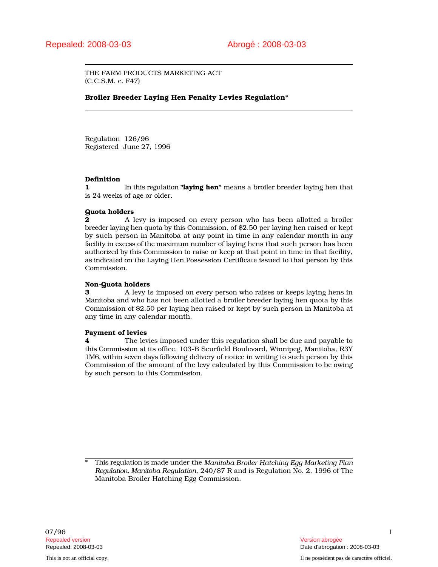THE FARM PRODUCTS MARKETING ACT (C.C.S.M. c. F47)

# Broiler Breeder Laying Hen Penalty Levies Regulation\*

Regulation 126/96 Registered June 27, 1996

# Definition

1 In this regulation "laying hen" means a broiler breeder laying hen that is 24 weeks of age or older.

# Quota holders

**2** A levy is imposed on every person who has been allotted a broiler breeder laying hen quota by this Commission, of \$2.50 per laying hen raised or kept by such person in Manitoba at any point in time in any calendar month in any facility in excess of the maximum number of laying hens that such person has been authorized by this Commission to raise or keep at that point in time in that facility, as indicated on the Laying Hen Possession Certificate issued to that person by this Commission.

## Non-Quota holders

**3** A levy is imposed on every person who raises or keeps laying hens in Manitoba and who has not been allotted a broiler breeder laying hen quota by this Commission of \$2.50 per laying hen raised or kept by such person in Manitoba at any time in any calendar month.

# Payment of levies

**4** The levies imposed under this regulation shall be due and payable to this Commission at its office, 103-B Scurfield Boulevard, Winnipeg, Manitoba, R3Y 1M6, within seven days following delivery of notice in writing to such person by this Commission of the amount of the levy calculated by this Commission to be owing by such person to this Commission.

\* This regulation is made under the *Manitoba Broiler Hatching Egg Marketing Plan Regulation, Manitoba Regulation*, 240/87 R and is Regulation No. 2, 1996 of The Manitoba Broiler Hatching Egg Commission.